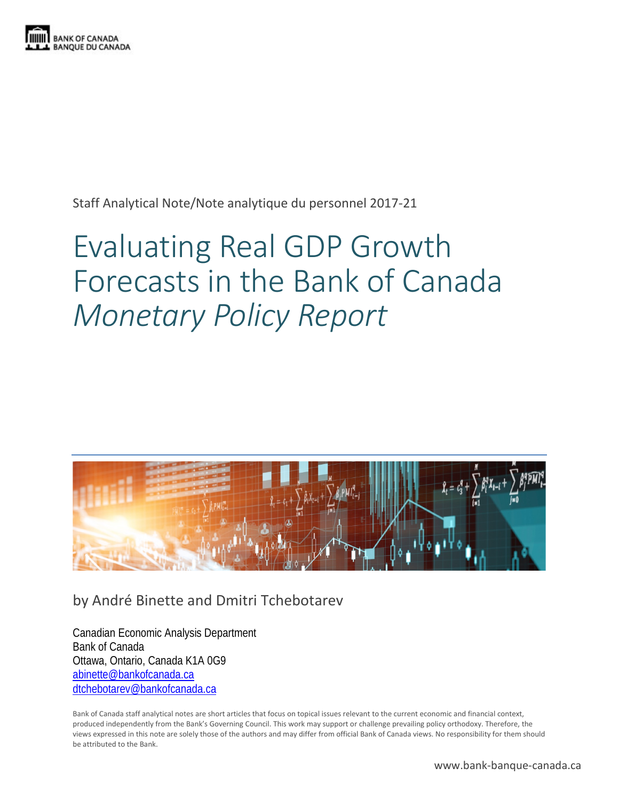

Staff Analytical Note/Note analytique du personnel 2017-21

# Evaluating Real GDP Growth Forecasts in the Bank of Canada *Monetary Policy Report*



# by André Binette and Dmitri Tchebotarev

Canadian Economic Analysis Department Bank of Canada Ottawa, Ontario, Canada K1A 0G9 [abinette@bankofcanada.ca](mailto:abinette@bankofcanada.ca) [dtchebotarev@bankofcanada.ca](mailto:dtchebotarev@bankofcanada.ca)

Bank of Canada staff analytical notes are short articles that focus on topical issues relevant to the current economic and financial context, produced independently from the Bank's Governing Council. This work may support or challenge prevailing policy orthodoxy. Therefore, the views expressed in this note are solely those of the authors and may differ from official Bank of Canada views. No responsibility for them should be attributed to the Bank.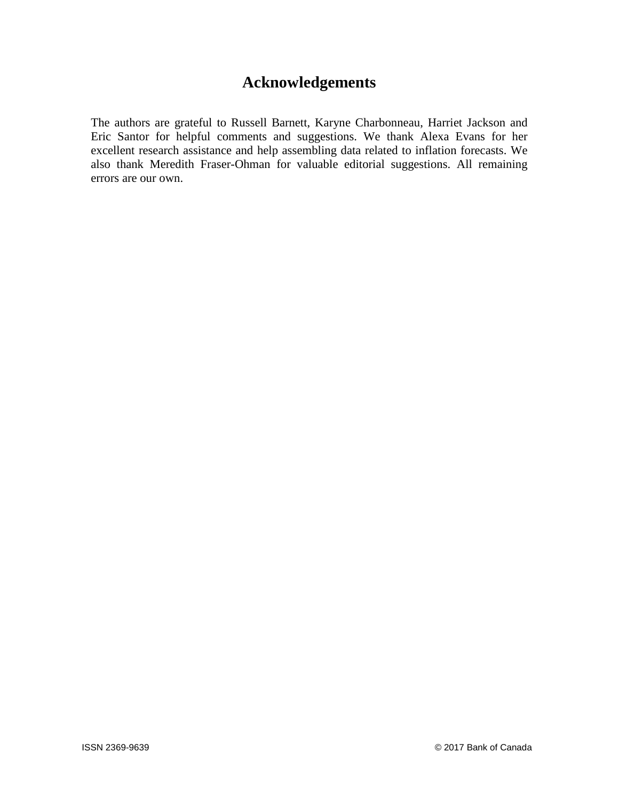# **Acknowledgements**

The authors are grateful to Russell Barnett, Karyne Charbonneau, Harriet Jackson and Eric Santor for helpful comments and suggestions. We thank Alexa Evans for her excellent research assistance and help assembling data related to inflation forecasts. We also thank Meredith Fraser-Ohman for valuable editorial suggestions. All remaining errors are our own.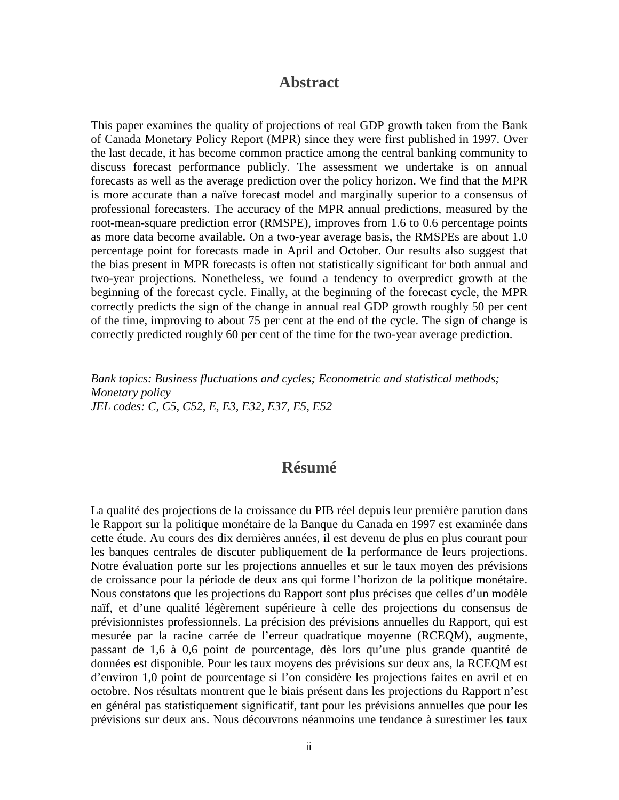## **Abstract**

This paper examines the quality of projections of real GDP growth taken from the Bank of Canada Monetary Policy Report (MPR) since they were first published in 1997. Over the last decade, it has become common practice among the central banking community to discuss forecast performance publicly. The assessment we undertake is on annual forecasts as well as the average prediction over the policy horizon. We find that the MPR is more accurate than a naïve forecast model and marginally superior to a consensus of professional forecasters. The accuracy of the MPR annual predictions, measured by the root-mean-square prediction error (RMSPE), improves from 1.6 to 0.6 percentage points as more data become available. On a two-year average basis, the RMSPEs are about 1.0 percentage point for forecasts made in April and October. Our results also suggest that the bias present in MPR forecasts is often not statistically significant for both annual and two-year projections. Nonetheless, we found a tendency to overpredict growth at the beginning of the forecast cycle. Finally, at the beginning of the forecast cycle, the MPR correctly predicts the sign of the change in annual real GDP growth roughly 50 per cent of the time, improving to about 75 per cent at the end of the cycle. The sign of change is correctly predicted roughly 60 per cent of the time for the two-year average prediction.

*Bank topics: Business fluctuations and cycles; Econometric and statistical methods; Monetary policy JEL codes: C, C5, C52, E, E3, E32, E37, E5, E52*

## **Résumé**

La qualité des projections de la croissance du PIB réel depuis leur première parution dans le Rapport sur la politique monétaire de la Banque du Canada en 1997 est examinée dans cette étude. Au cours des dix dernières années, il est devenu de plus en plus courant pour les banques centrales de discuter publiquement de la performance de leurs projections. Notre évaluation porte sur les projections annuelles et sur le taux moyen des prévisions de croissance pour la période de deux ans qui forme l'horizon de la politique monétaire. Nous constatons que les projections du Rapport sont plus précises que celles d'un modèle naïf, et d'une qualité légèrement supérieure à celle des projections du consensus de prévisionnistes professionnels. La précision des prévisions annuelles du Rapport, qui est mesurée par la racine carrée de l'erreur quadratique moyenne (RCEQM), augmente, passant de 1,6 à 0,6 point de pourcentage, dès lors qu'une plus grande quantité de données est disponible. Pour les taux moyens des prévisions sur deux ans, la RCEQM est d'environ 1,0 point de pourcentage si l'on considère les projections faites en avril et en octobre. Nos résultats montrent que le biais présent dans les projections du Rapport n'est en général pas statistiquement significatif, tant pour les prévisions annuelles que pour les prévisions sur deux ans. Nous découvrons néanmoins une tendance à surestimer les taux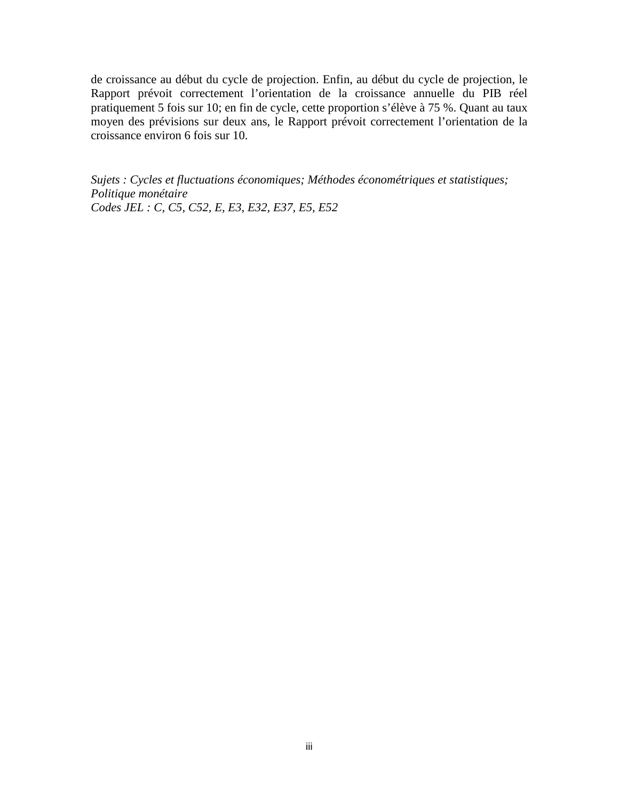de croissance au début du cycle de projection. Enfin, au début du cycle de projection, le Rapport prévoit correctement l'orientation de la croissance annuelle du PIB réel pratiquement 5 fois sur 10; en fin de cycle, cette proportion s'élève à 75 %. Quant au taux moyen des prévisions sur deux ans, le Rapport prévoit correctement l'orientation de la croissance environ 6 fois sur 10.

*Sujets : Cycles et fluctuations économiques; Méthodes économétriques et statistiques; Politique monétaire Codes JEL : C, C5, C52, E, E3, E32, E37, E5, E52*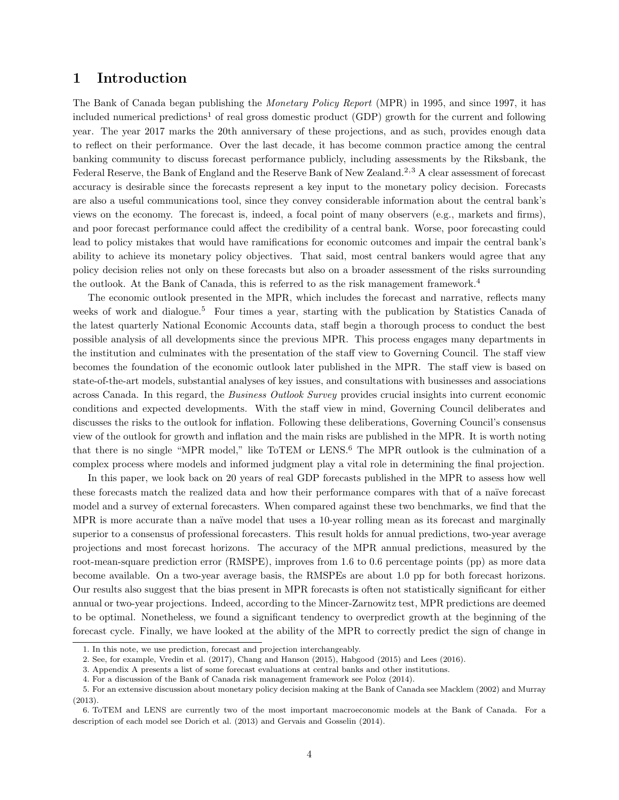#### 1 Introduction

The Bank of Canada began publishing the Monetary Policy Report (MPR) in 1995, and since 1997, it has included numerical predictions<sup>[1](#page-4-0)</sup> of real gross domestic product (GDP) growth for the current and following year. The year 2017 marks the 20th anniversary of these projections, and as such, provides enough data to reflect on their performance. Over the last decade, it has become common practice among the central banking community to discuss forecast performance publicly, including assessments by the Riksbank, the Federal Reserve, the Bank of England and the Reserve Bank of New Zealand.<sup>[2,](#page-4-1)[3](#page-4-2)</sup> A clear assessment of forecast accuracy is desirable since the forecasts represent a key input to the monetary policy decision. Forecasts are also a useful communications tool, since they convey considerable information about the central bank's views on the economy. The forecast is, indeed, a focal point of many observers (e.g., markets and firms), and poor forecast performance could affect the credibility of a central bank. Worse, poor forecasting could lead to policy mistakes that would have ramifications for economic outcomes and impair the central bank's ability to achieve its monetary policy objectives. That said, most central bankers would agree that any policy decision relies not only on these forecasts but also on a broader assessment of the risks surrounding the outlook. At the Bank of Canada, this is referred to as the risk management framework.<sup>[4](#page-4-3)</sup>

The economic outlook presented in the MPR, which includes the forecast and narrative, reflects many weeks of work and dialogue.<sup>[5](#page-4-4)</sup> Four times a year, starting with the publication by Statistics Canada of the latest quarterly National Economic Accounts data, staff begin a thorough process to conduct the best possible analysis of all developments since the previous MPR. This process engages many departments in the institution and culminates with the presentation of the staff view to Governing Council. The staff view becomes the foundation of the economic outlook later published in the MPR. The staff view is based on state-of-the-art models, substantial analyses of key issues, and consultations with businesses and associations across Canada. In this regard, the Business Outlook Survey provides crucial insights into current economic conditions and expected developments. With the staff view in mind, Governing Council deliberates and discusses the risks to the outlook for inflation. Following these deliberations, Governing Council's consensus view of the outlook for growth and inflation and the main risks are published in the MPR. It is worth noting that there is no single "MPR model," like ToTEM or LENS.<sup>[6](#page-4-5)</sup> The MPR outlook is the culmination of a complex process where models and informed judgment play a vital role in determining the final projection.

In this paper, we look back on 20 years of real GDP forecasts published in the MPR to assess how well these forecasts match the realized data and how their performance compares with that of a naïve forecast model and a survey of external forecasters. When compared against these two benchmarks, we find that the MPR is more accurate than a naïve model that uses a 10-year rolling mean as its forecast and marginally superior to a consensus of professional forecasters. This result holds for annual predictions, two-year average projections and most forecast horizons. The accuracy of the MPR annual predictions, measured by the root-mean-square prediction error (RMSPE), improves from 1.6 to 0.6 percentage points (pp) as more data become available. On a two-year average basis, the RMSPEs are about 1.0 pp for both forecast horizons. Our results also suggest that the bias present in MPR forecasts is often not statistically significant for either annual or two-year projections. Indeed, according to the Mincer-Zarnowitz test, MPR predictions are deemed to be optimal. Nonetheless, we found a significant tendency to overpredict growth at the beginning of the forecast cycle. Finally, we have looked at the ability of the MPR to correctly predict the sign of change in

<span id="page-4-0"></span><sup>1.</sup> In this note, we use prediction, forecast and projection interchangeably.

<span id="page-4-1"></span><sup>2.</sup> See, for example, Vredin et al. [\(2017\)](#page-19-0), Chang and Hanson [\(2015\)](#page-18-0), Habgood [\(2015\)](#page-18-1) and Lees [\(2016\)](#page-18-2).

<span id="page-4-3"></span><span id="page-4-2"></span><sup>3.</sup> Appendix A presents a list of some forecast evaluations at central banks and other institutions.

<span id="page-4-4"></span><sup>4.</sup> For a discussion of the Bank of Canada risk management framework see Poloz [\(2014\)](#page-19-1).

<sup>5.</sup> For an extensive discussion about monetary policy decision making at the Bank of Canada see Macklem [\(2002\)](#page-18-3) and Murray [\(2013\)](#page-18-4).

<span id="page-4-5"></span><sup>6.</sup> ToTEM and LENS are currently two of the most important macroeconomic models at the Bank of Canada. For a description of each model see Dorich et al. [\(2013\)](#page-18-5) and Gervais and Gosselin [\(2014\)](#page-18-6).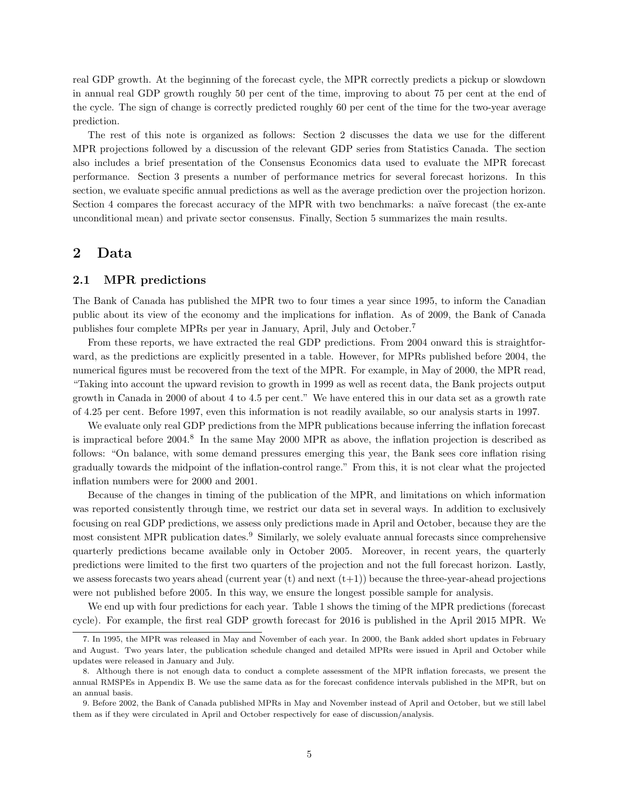real GDP growth. At the beginning of the forecast cycle, the MPR correctly predicts a pickup or slowdown in annual real GDP growth roughly 50 per cent of the time, improving to about 75 per cent at the end of the cycle. The sign of change is correctly predicted roughly 60 per cent of the time for the two-year average prediction.

The rest of this note is organized as follows: Section [2](#page-5-0) discusses the data we use for the different MPR projections followed by a discussion of the relevant GDP series from Statistics Canada. The section also includes a brief presentation of the Consensus Economics data used to evaluate the MPR forecast performance. Section [3](#page-9-0) presents a number of performance metrics for several forecast horizons. In this section, we evaluate specific annual predictions as well as the average prediction over the projection horizon. Section [4](#page-15-0) compares the forecast accuracy of the MPR with two benchmarks: a naïve forecast (the ex-ante unconditional mean) and private sector consensus. Finally, Section [5](#page-16-0) summarizes the main results.

#### <span id="page-5-0"></span>2 Data

#### 2.1 MPR predictions

The Bank of Canada has published the MPR two to four times a year since 1995, to inform the Canadian public about its view of the economy and the implications for inflation. As of 2009, the Bank of Canada publishes four complete MPRs per year in January, April, July and October.[7](#page-5-1)

From these reports, we have extracted the real GDP predictions. From 2004 onward this is straightforward, as the predictions are explicitly presented in a table. However, for MPRs published before 2004, the numerical figures must be recovered from the text of the MPR. For example, in May of 2000, the MPR read, "Taking into account the upward revision to growth in 1999 as well as recent data, the Bank projects output growth in Canada in 2000 of about 4 to 4.5 per cent." We have entered this in our data set as a growth rate of 4.25 per cent. Before 1997, even this information is not readily available, so our analysis starts in 1997.

We evaluate only real GDP predictions from the MPR publications because inferring the inflation forecast is impractical before 2004.<sup>[8](#page-5-2)</sup> In the same May 2000 MPR as above, the inflation projection is described as follows: "On balance, with some demand pressures emerging this year, the Bank sees core inflation rising gradually towards the midpoint of the inflation-control range." From this, it is not clear what the projected inflation numbers were for 2000 and 2001.

Because of the changes in timing of the publication of the MPR, and limitations on which information was reported consistently through time, we restrict our data set in several ways. In addition to exclusively focusing on real GDP predictions, we assess only predictions made in April and October, because they are the most consistent MPR publication dates.<sup>[9](#page-5-3)</sup> Similarly, we solely evaluate annual forecasts since comprehensive quarterly predictions became available only in October 2005. Moreover, in recent years, the quarterly predictions were limited to the first two quarters of the projection and not the full forecast horizon. Lastly, we assess forecasts two years ahead (current year  $(t)$  and next  $(t+1)$ ) because the three-year-ahead projections were not published before 2005. In this way, we ensure the longest possible sample for analysis.

We end up with four predictions for each year. Table [1](#page-6-0) shows the timing of the MPR predictions (forecast cycle). For example, the first real GDP growth forecast for 2016 is published in the April 2015 MPR. We

<span id="page-5-1"></span><sup>7.</sup> In 1995, the MPR was released in May and November of each year. In 2000, the Bank added short updates in February and August. Two years later, the publication schedule changed and detailed MPRs were issued in April and October while updates were released in January and July.

<span id="page-5-2"></span><sup>8.</sup> Although there is not enough data to conduct a complete assessment of the MPR inflation forecasts, we present the annual RMSPEs in Appendix B. We use the same data as for the forecast confidence intervals published in the MPR, but on an annual basis.

<span id="page-5-3"></span><sup>9.</sup> Before 2002, the Bank of Canada published MPRs in May and November instead of April and October, but we still label them as if they were circulated in April and October respectively for ease of discussion/analysis.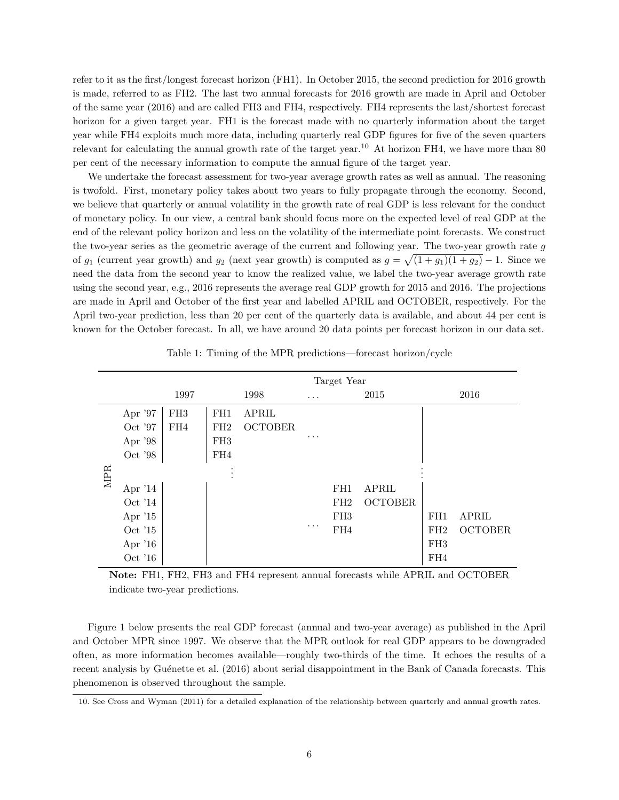refer to it as the first/longest forecast horizon (FH1). In October 2015, the second prediction for 2016 growth is made, referred to as FH2. The last two annual forecasts for 2016 growth are made in April and October of the same year (2016) and are called FH3 and FH4, respectively. FH4 represents the last/shortest forecast horizon for a given target year. FH1 is the forecast made with no quarterly information about the target year while FH4 exploits much more data, including quarterly real GDP figures for five of the seven quarters relevant for calculating the annual growth rate of the target year.<sup>[10](#page-6-1)</sup> At horizon FH4, we have more than 80 per cent of the necessary information to compute the annual figure of the target year.

We undertake the forecast assessment for two-year average growth rates as well as annual. The reasoning is twofold. First, monetary policy takes about two years to fully propagate through the economy. Second, we believe that quarterly or annual volatility in the growth rate of real GDP is less relevant for the conduct of monetary policy. In our view, a central bank should focus more on the expected level of real GDP at the end of the relevant policy horizon and less on the volatility of the intermediate point forecasts. We construct the two-year series as the geometric average of the current and following year. The two-year growth rate g of  $g_1$  (current year growth) and  $g_2$  (next year growth) is computed as  $g = \sqrt{(1 + g_1)(1 + g_2)} - 1$ . Since we need the data from the second year to know the realized value, we label the two-year average growth rate using the second year, e.g., 2016 represents the average real GDP growth for 2015 and 2016. The projections are made in April and October of the first year and labelled APRIL and OCTOBER, respectively. For the April two-year prediction, less than 20 per cent of the quarterly data is available, and about 44 per cent is known for the October forecast. In all, we have around 20 data points per forecast horizon in our data set.

<span id="page-6-0"></span>

|            |           |                 | Target Year     |                |          |                 |                |                 |                |
|------------|-----------|-----------------|-----------------|----------------|----------|-----------------|----------------|-----------------|----------------|
|            |           | 1997            |                 | 1998           | $\cdots$ |                 | 2015           |                 | 2016           |
|            | Apr '97   | FH <sub>3</sub> | FH1             | APRIL          |          |                 |                |                 |                |
|            | Oct '97   | FH4             | FH2             | <b>OCTOBER</b> |          |                 |                |                 |                |
|            | Apr '98   |                 | FH <sub>3</sub> |                | .        |                 |                |                 |                |
|            | Oct '98   |                 | FH4             |                |          |                 |                |                 |                |
| <b>MPR</b> |           |                 |                 |                |          |                 |                |                 |                |
|            | Apr $'14$ |                 |                 |                |          | FH <sub>1</sub> | <b>APRIL</b>   |                 |                |
|            | Oct $14$  |                 |                 |                |          | FH2             | <b>OCTOBER</b> |                 |                |
|            | Apr $'15$ |                 |                 |                |          | FH <sub>3</sub> |                | FH1             | <b>APRIL</b>   |
|            | Oct '15   |                 |                 |                | .        | FH4             |                | FH2             | <b>OCTOBER</b> |
|            | Apr $'16$ |                 |                 |                |          |                 |                | FH <sub>3</sub> |                |
|            | Oct $'16$ |                 |                 |                |          |                 |                | FH4             |                |

Table 1: Timing of the MPR predictions—forecast horizon/cycle

Note: FH1, FH2, FH3 and FH4 represent annual forecasts while APRIL and OCTOBER indicate two-year predictions.

Figure [1](#page-7-0) below presents the real GDP forecast (annual and two-year average) as published in the April and October MPR since 1997. We observe that the MPR outlook for real GDP appears to be downgraded often, as more information becomes available—roughly two-thirds of the time. It echoes the results of a recent analysis by Guénette et al. [\(2016\)](#page-18-7) about serial disappointment in the Bank of Canada forecasts. This phenomenon is observed throughout the sample.

<span id="page-6-1"></span><sup>10.</sup> See Cross and Wyman [\(2011\)](#page-18-8) for a detailed explanation of the relationship between quarterly and annual growth rates.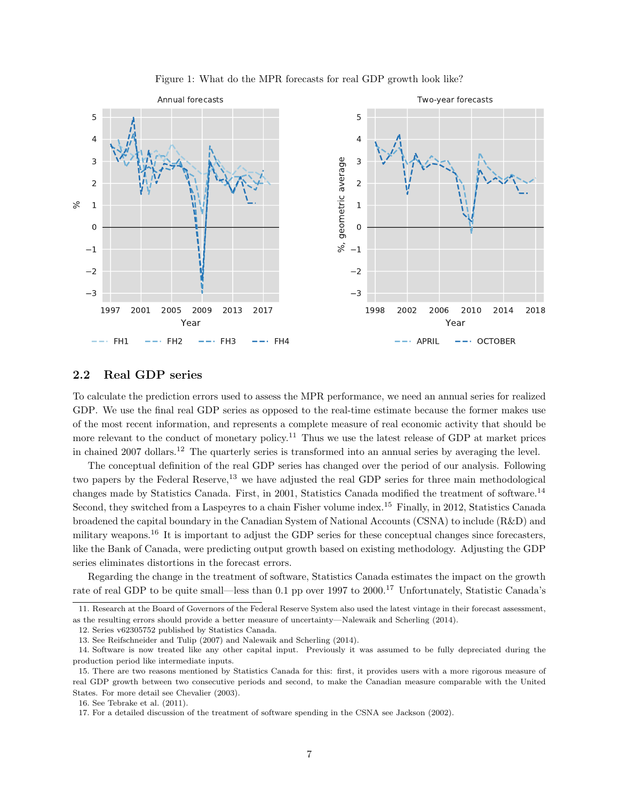<span id="page-7-0"></span>

#### Figure 1: What do the MPR forecasts for real GDP growth look like?

#### 2.2 Real GDP series

To calculate the prediction errors used to assess the MPR performance, we need an annual series for realized GDP. We use the final real GDP series as opposed to the real-time estimate because the former makes use of the most recent information, and represents a complete measure of real economic activity that should be more relevant to the conduct of monetary policy.<sup>[11](#page-7-1)</sup> Thus we use the latest release of GDP at market prices in chained 2007 dollars.<sup>[12](#page-7-2)</sup> The quarterly series is transformed into an annual series by averaging the level.

The conceptual definition of the real GDP series has changed over the period of our analysis. Following two papers by the Federal Reserve,<sup>[13](#page-7-3)</sup> we have adjusted the real GDP series for three main methodological changes made by Statistics Canada. First, in 2001, Statistics Canada modified the treatment of software.[14](#page-7-4) Second, they switched from a Laspeyres to a chain Fisher volume index.[15](#page-7-5) Finally, in 2012, Statistics Canada broadened the capital boundary in the Canadian System of National Accounts (CSNA) to include (R&D) and military weapons.[16](#page-7-6) It is important to adjust the GDP series for these conceptual changes since forecasters, like the Bank of Canada, were predicting output growth based on existing methodology. Adjusting the GDP series eliminates distortions in the forecast errors.

Regarding the change in the treatment of software, Statistics Canada estimates the impact on the growth rate of real GDP to be quite small—less than 0.1 pp over 1997 to 2000.[17](#page-7-7) Unfortunately, Statistic Canada's

<span id="page-7-1"></span><sup>11.</sup> Research at the Board of Governors of the Federal Reserve System also used the latest vintage in their forecast assessment, as the resulting errors should provide a better measure of uncertainty—Nalewaik and Scherling [\(2014\)](#page-19-2).

<span id="page-7-2"></span><sup>12.</sup> Series v62305752 published by Statistics Canada.

<span id="page-7-4"></span><span id="page-7-3"></span><sup>13.</sup> See Reifschneider and Tulip [\(2007\)](#page-19-3) and Nalewaik and Scherling [\(2014\)](#page-19-2).

<sup>14.</sup> Software is now treated like any other capital input. Previously it was assumed to be fully depreciated during the production period like intermediate inputs.

<span id="page-7-5"></span><sup>15.</sup> There are two reasons mentioned by Statistics Canada for this: first, it provides users with a more rigorous measure of real GDP growth between two consecutive periods and second, to make the Canadian measure comparable with the United States. For more detail see Chevalier [\(2003\)](#page-18-9).

<span id="page-7-6"></span><sup>16.</sup> See Tebrake et al. [\(2011\)](#page-19-4).

<span id="page-7-7"></span><sup>17.</sup> For a detailed discussion of the treatment of software spending in the CSNA see Jackson [\(2002\)](#page-18-10).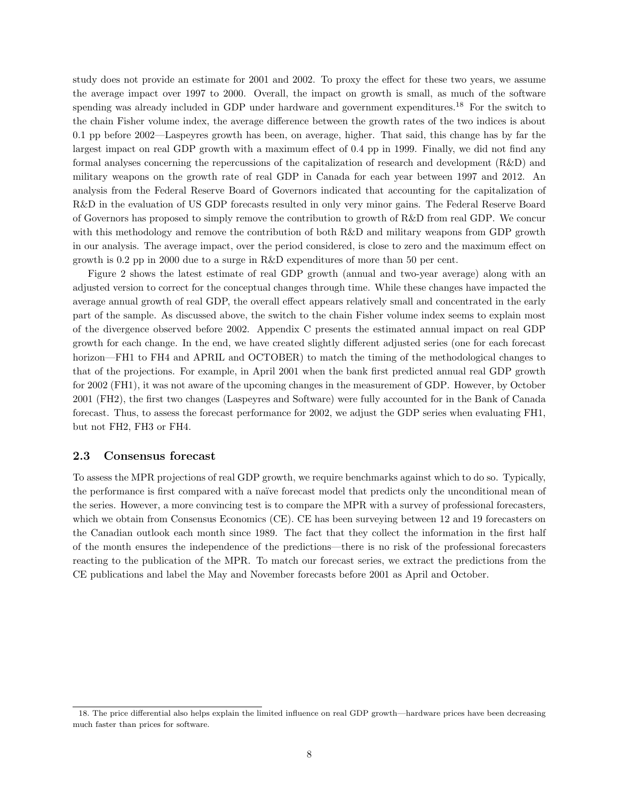study does not provide an estimate for 2001 and 2002. To proxy the effect for these two years, we assume the average impact over 1997 to 2000. Overall, the impact on growth is small, as much of the software spending was already included in GDP under hardware and government expenditures.<sup>[18](#page-8-0)</sup> For the switch to the chain Fisher volume index, the average difference between the growth rates of the two indices is about 0.1 pp before 2002—Laspeyres growth has been, on average, higher. That said, this change has by far the largest impact on real GDP growth with a maximum effect of 0.4 pp in 1999. Finally, we did not find any formal analyses concerning the repercussions of the capitalization of research and development (R&D) and military weapons on the growth rate of real GDP in Canada for each year between 1997 and 2012. An analysis from the Federal Reserve Board of Governors indicated that accounting for the capitalization of R&D in the evaluation of US GDP forecasts resulted in only very minor gains. The Federal Reserve Board of Governors has proposed to simply remove the contribution to growth of R&D from real GDP. We concur with this methodology and remove the contribution of both R&D and military weapons from GDP growth in our analysis. The average impact, over the period considered, is close to zero and the maximum effect on growth is 0.2 pp in 2000 due to a surge in R&D expenditures of more than 50 per cent.

Figure [2](#page-9-1) shows the latest estimate of real GDP growth (annual and two-year average) along with an adjusted version to correct for the conceptual changes through time. While these changes have impacted the average annual growth of real GDP, the overall effect appears relatively small and concentrated in the early part of the sample. As discussed above, the switch to the chain Fisher volume index seems to explain most of the divergence observed before 2002. Appendix C presents the estimated annual impact on real GDP growth for each change. In the end, we have created slightly different adjusted series (one for each forecast horizon—FH1 to FH4 and APRIL and OCTOBER) to match the timing of the methodological changes to that of the projections. For example, in April 2001 when the bank first predicted annual real GDP growth for 2002 (FH1), it was not aware of the upcoming changes in the measurement of GDP. However, by October 2001 (FH2), the first two changes (Laspeyres and Software) were fully accounted for in the Bank of Canada forecast. Thus, to assess the forecast performance for 2002, we adjust the GDP series when evaluating FH1, but not FH2, FH3 or FH4.

#### 2.3 Consensus forecast

To assess the MPR projections of real GDP growth, we require benchmarks against which to do so. Typically, the performance is first compared with a naïve forecast model that predicts only the unconditional mean of the series. However, a more convincing test is to compare the MPR with a survey of professional forecasters, which we obtain from Consensus Economics (CE). CE has been surveying between 12 and 19 forecasters on the Canadian outlook each month since 1989. The fact that they collect the information in the first half of the month ensures the independence of the predictions—there is no risk of the professional forecasters reacting to the publication of the MPR. To match our forecast series, we extract the predictions from the CE publications and label the May and November forecasts before 2001 as April and October.

<span id="page-8-0"></span><sup>18.</sup> The price differential also helps explain the limited influence on real GDP growth—hardware prices have been decreasing much faster than prices for software.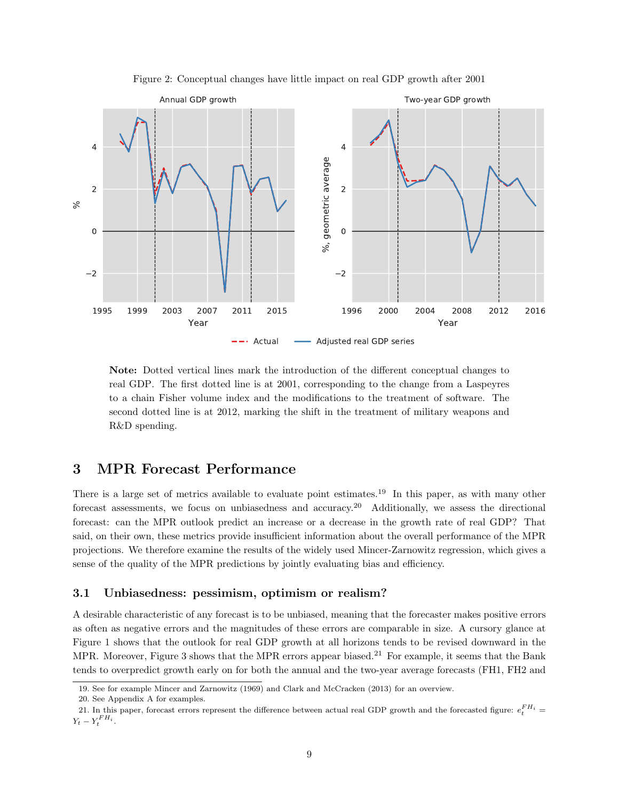<span id="page-9-1"></span>

Figure 2: Conceptual changes have little impact on real GDP growth after 2001

Note: Dotted vertical lines mark the introduction of the different conceptual changes to real GDP. The first dotted line is at 2001, corresponding to the change from a Laspeyres to a chain Fisher volume index and the modifications to the treatment of software. The second dotted line is at 2012, marking the shift in the treatment of military weapons and R&D spending.

## <span id="page-9-0"></span>3 MPR Forecast Performance

There is a large set of metrics available to evaluate point estimates.<sup>[19](#page-9-2)</sup> In this paper, as with many other forecast assessments, we focus on unbiasedness and accuracy.[20](#page-9-3) Additionally, we assess the directional forecast: can the MPR outlook predict an increase or a decrease in the growth rate of real GDP? That said, on their own, these metrics provide insufficient information about the overall performance of the MPR projections. We therefore examine the results of the widely used Mincer-Zarnowitz regression, which gives a sense of the quality of the MPR predictions by jointly evaluating bias and efficiency.

#### 3.1 Unbiasedness: pessimism, optimism or realism?

A desirable characteristic of any forecast is to be unbiased, meaning that the forecaster makes positive errors as often as negative errors and the magnitudes of these errors are comparable in size. A cursory glance at Figure [1](#page-7-0) shows that the outlook for real GDP growth at all horizons tends to be revised downward in the MPR. Moreover, Figure [3](#page-10-0) shows that the MPR errors appear biased.<sup>[21](#page-9-4)</sup> For example, it seems that the Bank tends to overpredict growth early on for both the annual and the two-year average forecasts (FH1, FH2 and

<span id="page-9-2"></span><sup>19.</sup> See for example Mincer and Zarnowitz [\(1969\)](#page-18-11) and Clark and McCracken [\(2013\)](#page-18-12) for an overview.

<span id="page-9-4"></span><span id="page-9-3"></span><sup>20.</sup> See Appendix A for examples.

<sup>21.</sup> In this paper, forecast errors represent the difference between actual real GDP growth and the forecasted figure:  $e_t^{FH_i}$  $Y_t - Y_t^{FH_i}.$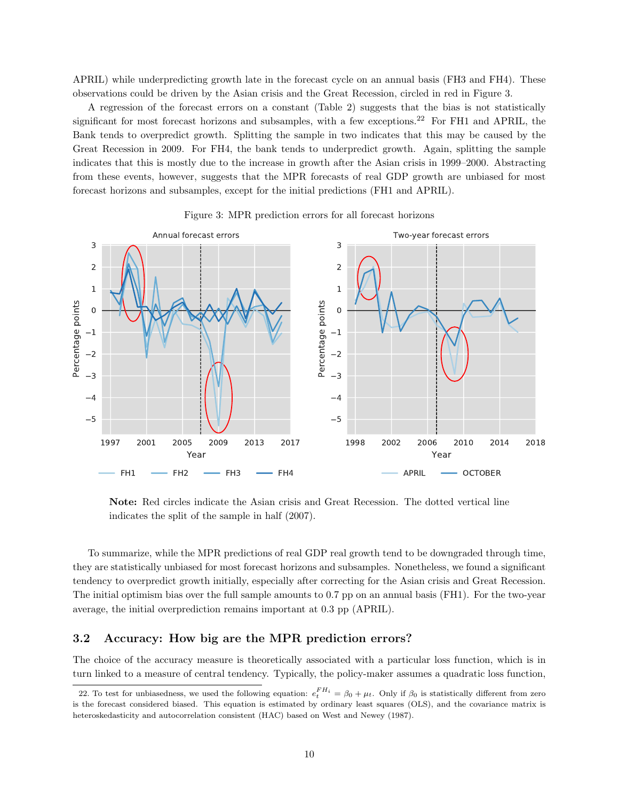APRIL) while underpredicting growth late in the forecast cycle on an annual basis (FH3 and FH4). These observations could be driven by the Asian crisis and the Great Recession, circled in red in Figure [3.](#page-10-0)

A regression of the forecast errors on a constant (Table [2\)](#page-11-0) suggests that the bias is not statistically significant for most forecast horizons and subsamples, with a few exceptions.<sup>[22](#page-10-1)</sup> For FH1 and APRIL, the Bank tends to overpredict growth. Splitting the sample in two indicates that this may be caused by the Great Recession in 2009. For FH4, the bank tends to underpredict growth. Again, splitting the sample indicates that this is mostly due to the increase in growth after the Asian crisis in 1999–2000. Abstracting from these events, however, suggests that the MPR forecasts of real GDP growth are unbiased for most forecast horizons and subsamples, except for the initial predictions (FH1 and APRIL).

<span id="page-10-0"></span>

Figure 3: MPR prediction errors for all forecast horizons

Note: Red circles indicate the Asian crisis and Great Recession. The dotted vertical line indicates the split of the sample in half (2007).

To summarize, while the MPR predictions of real GDP real growth tend to be downgraded through time, they are statistically unbiased for most forecast horizons and subsamples. Nonetheless, we found a significant tendency to overpredict growth initially, especially after correcting for the Asian crisis and Great Recession. The initial optimism bias over the full sample amounts to 0.7 pp on an annual basis (FH1). For the two-year average, the initial overprediction remains important at 0.3 pp (APRIL).

#### 3.2 Accuracy: How big are the MPR prediction errors?

The choice of the accuracy measure is theoretically associated with a particular loss function, which is in turn linked to a measure of central tendency. Typically, the policy-maker assumes a quadratic loss function,

<span id="page-10-1"></span><sup>22.</sup> To test for unbiasedness, we used the following equation:  $e_t^{FH_i} = \beta_0 + \mu_t$ . Only if  $\beta_0$  is statistically different from zero is the forecast considered biased. This equation is estimated by ordinary least squares (OLS), and the covariance matrix is heteroskedasticity and autocorrelation consistent (HAC) based on West and Newey [\(1987\)](#page-19-5).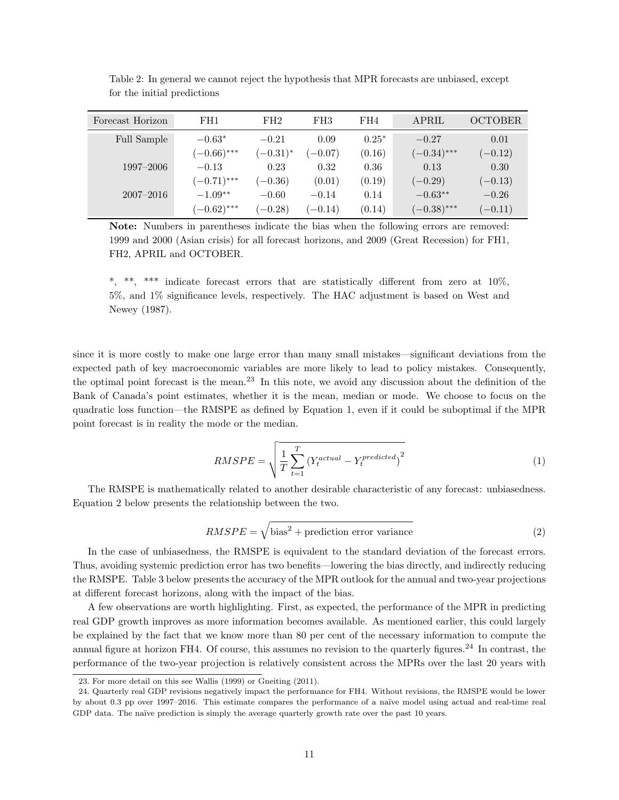| Forecast Horizon | FH1           | FH2           | FH <sub>3</sub> | FH4     | APRIL         | <b>OCTOBER</b> |
|------------------|---------------|---------------|-----------------|---------|---------------|----------------|
| Full Sample      | $-0.63*$      | $-0.21$       | 0.09            | $0.25*$ | $-0.27$       | 0.01           |
|                  | $(-0.66)$ *** | $(-0.31)^{*}$ | $(-0.07)$       | (0.16)  | $(-0.34)$ *** | $(-0.12)$      |
| 1997–2006        | $-0.13$       | 0.23          | 0.32            | 0.36    | 0.13          | 0.30           |
|                  | $(-0.71)$ *** | $(-0.36)$     | (0.01)          | (0.19)  | $(-0.29)$     | $(-0.13)$      |
| $2007 - 2016$    | $-1.09**$     | $-0.60$       | $-0.14$         | 0.14    | $-0.63**$     | $-0.26$        |
|                  | $(-0.62)$ *** | $(-0.28)$     | $(-0.14)$       | (0.14)  | $(-0.38)$ *** | $(-0.11)$      |

<span id="page-11-0"></span>Table 2: In general we cannot reject the hypothesis that MPR forecasts are unbiased, except for the initial predictions

Note: Numbers in parentheses indicate the bias when the following errors are removed: 1999 and 2000 (Asian crisis) for all forecast horizons, and 2009 (Great Recession) for FH1, FH2, APRIL and OCTOBER.

\*, \*\*, \*\*\* indicate forecast errors that are statistically different from zero at  $10\%$ , 5%, and 1% significance levels, respectively. The HAC adjustment is based on West and Newey [\(1987\)](#page-19-5).

since it is more costly to make one large error than many small mistakes—significant deviations from the expected path of key macroeconomic variables are more likely to lead to policy mistakes. Consequently, the optimal point forecast is the mean.[23](#page-11-1) In this note, we avoid any discussion about the definition of the Bank of Canada's point estimates, whether it is the mean, median or mode. We choose to focus on the quadratic loss function—the RMSPE as defined by Equation [1,](#page-11-2) even if it could be suboptimal if the MPR point forecast is in reality the mode or the median.

$$
RMSPE = \sqrt{\frac{1}{T} \sum_{t=1}^{T} (Y_t^{actual} - Y_t^{predicted})^2}
$$
 (1)

<span id="page-11-3"></span><span id="page-11-2"></span>The RMSPE is mathematically related to another desirable characteristic of any forecast: unbiasedness. Equation [2](#page-11-3) below presents the relationship between the two.

$$
RMSPE = \sqrt{\text{bias}^2 + \text{prediction error variance}} \tag{2}
$$

In the case of unbiasedness, the RMSPE is equivalent to the standard deviation of the forecast errors. Thus, avoiding systemic prediction error has two benefits—lowering the bias directly, and indirectly reducing the RMSPE. Table [3](#page-12-0) below presents the accuracy of the MPR outlook for the annual and two-year projections at different forecast horizons, along with the impact of the bias.

A few observations are worth highlighting. First, as expected, the performance of the MPR in predicting real GDP growth improves as more information becomes available. As mentioned earlier, this could largely be explained by the fact that we know more than 80 per cent of the necessary information to compute the annual figure at horizon FH4. Of course, this assumes no revision to the quarterly figures.<sup>[24](#page-11-4)</sup> In contrast, the performance of the two-year projection is relatively consistent across the MPRs over the last 20 years with

<span id="page-11-4"></span><span id="page-11-1"></span><sup>23.</sup> For more detail on this see Wallis [\(1999\)](#page-19-6) or Gneiting [\(2011\)](#page-18-13).

<sup>24.</sup> Quarterly real GDP revisions negatively impact the performance for FH4. Without revisions, the RMSPE would be lower by about 0.3 pp over 1997–2016. This estimate compares the performance of a na¨ıve model using actual and real-time real GDP data. The naïve prediction is simply the average quarterly growth rate over the past 10 years.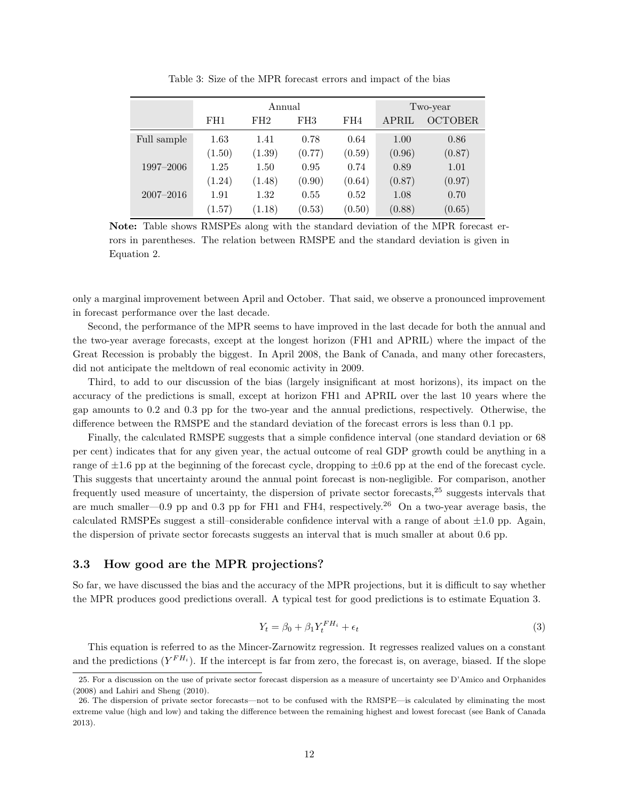<span id="page-12-0"></span>

|               |        | Annual | Two-year        |        |        |                |
|---------------|--------|--------|-----------------|--------|--------|----------------|
|               | FH1    | FH2    | FH <sub>3</sub> | FH4    | APRIL  | <b>OCTOBER</b> |
| Full sample   | 1.63   | 1.41   | 0.78            | 0.64   | 1.00   | 0.86           |
|               | (1.50) | (1.39) | (0.77)          | (0.59) | (0.96) | (0.87)         |
| 1997-2006     | 1.25   | 1.50   | 0.95            | 0.74   | 0.89   | 1.01           |
|               | (1.24) | (1.48) | (0.90)          | (0.64) | (0.87) | (0.97)         |
| $2007 - 2016$ | 1.91   | 1.32   | 0.55            | 0.52   | 1.08   | 0.70           |
|               | (1.57) | (1.18) | (0.53)          | (0.50) | (0.88) | (0.65)         |

Table 3: Size of the MPR forecast errors and impact of the bias

Note: Table shows RMSPEs along with the standard deviation of the MPR forecast errors in parentheses. The relation between RMSPE and the standard deviation is given in Equation [2.](#page-11-3)

only a marginal improvement between April and October. That said, we observe a pronounced improvement in forecast performance over the last decade.

Second, the performance of the MPR seems to have improved in the last decade for both the annual and the two-year average forecasts, except at the longest horizon (FH1 and APRIL) where the impact of the Great Recession is probably the biggest. In April 2008, the Bank of Canada, and many other forecasters, did not anticipate the meltdown of real economic activity in 2009.

Third, to add to our discussion of the bias (largely insignificant at most horizons), its impact on the accuracy of the predictions is small, except at horizon FH1 and APRIL over the last 10 years where the gap amounts to 0.2 and 0.3 pp for the two-year and the annual predictions, respectively. Otherwise, the difference between the RMSPE and the standard deviation of the forecast errors is less than 0.1 pp.

Finally, the calculated RMSPE suggests that a simple confidence interval (one standard deviation or 68 per cent) indicates that for any given year, the actual outcome of real GDP growth could be anything in a range of  $\pm 1.6$  pp at the beginning of the forecast cycle, dropping to  $\pm 0.6$  pp at the end of the forecast cycle. This suggests that uncertainty around the annual point forecast is non-negligible. For comparison, another frequently used measure of uncertainty, the dispersion of private sector forecasts,[25](#page-12-1) suggests intervals that are much smaller—0.9 pp and 0.3 pp for FH1 and FH4, respectively.<sup>[26](#page-12-2)</sup> On a two-year average basis, the calculated RMSPEs suggest a still–considerable confidence interval with a range of about  $\pm 1.0$  pp. Again, the dispersion of private sector forecasts suggests an interval that is much smaller at about 0.6 pp.

#### 3.3 How good are the MPR projections?

<span id="page-12-3"></span>So far, we have discussed the bias and the accuracy of the MPR projections, but it is difficult to say whether the MPR produces good predictions overall. A typical test for good predictions is to estimate Equation [3.](#page-12-3)

$$
Y_t = \beta_0 + \beta_1 Y_t^{FH_i} + \epsilon_t \tag{3}
$$

This equation is referred to as the Mincer-Zarnowitz regression. It regresses realized values on a constant and the predictions  $(Y^{FH_i})$ . If the intercept is far from zero, the forecast is, on average, biased. If the slope

<span id="page-12-1"></span><sup>25.</sup> For a discussion on the use of private sector forecast dispersion as a measure of uncertainty see D'Amico and Orphanides [\(2008\)](#page-18-14) and Lahiri and Sheng [\(2010\)](#page-18-15).

<span id="page-12-2"></span><sup>26.</sup> The dispersion of private sector forecasts—not to be confused with the RMSPE—is calculated by eliminating the most extreme value (high and low) and taking the difference between the remaining highest and lowest forecast (see Bank of Canada [2013\)](#page-18-16).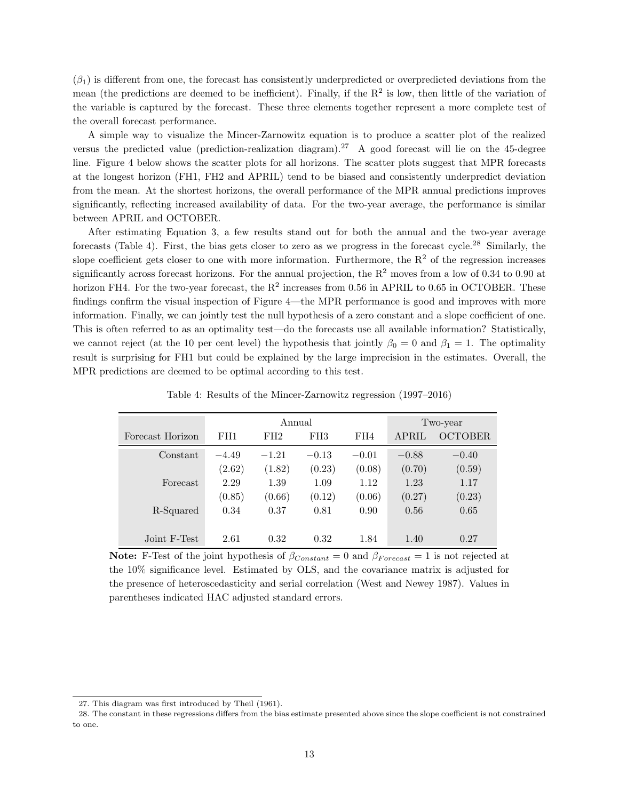$(\beta_1)$  is different from one, the forecast has consistently underpredicted or overpredicted deviations from the mean (the predictions are deemed to be inefficient). Finally, if the  $R<sup>2</sup>$  is low, then little of the variation of the variable is captured by the forecast. These three elements together represent a more complete test of the overall forecast performance.

A simple way to visualize the Mincer-Zarnowitz equation is to produce a scatter plot of the realized versus the predicted value (prediction-realization diagram).<sup>[27](#page-13-0)</sup> A good forecast will lie on the 45-degree line. Figure [4](#page-14-0) below shows the scatter plots for all horizons. The scatter plots suggest that MPR forecasts at the longest horizon (FH1, FH2 and APRIL) tend to be biased and consistently underpredict deviation from the mean. At the shortest horizons, the overall performance of the MPR annual predictions improves significantly, reflecting increased availability of data. For the two-year average, the performance is similar between APRIL and OCTOBER.

After estimating Equation [3,](#page-12-3) a few results stand out for both the annual and the two-year average forecasts (Table [4\)](#page-13-1). First, the bias gets closer to zero as we progress in the forecast cycle.<sup>[28](#page-13-2)</sup> Similarly, the slope coefficient gets closer to one with more information. Furthermore, the  $R<sup>2</sup>$  of the regression increases significantly across forecast horizons. For the annual projection, the  $R^2$  moves from a low of 0.34 to 0.90 at horizon FH4. For the two-year forecast, the  $R^2$  increases from 0.56 in APRIL to 0.65 in OCTOBER. These findings confirm the visual inspection of Figure [4—](#page-14-0)the MPR performance is good and improves with more information. Finally, we can jointly test the null hypothesis of a zero constant and a slope coefficient of one. This is often referred to as an optimality test—do the forecasts use all available information? Statistically, we cannot reject (at the 10 per cent level) the hypothesis that jointly  $\beta_0 = 0$  and  $\beta_1 = 1$ . The optimality result is surprising for FH1 but could be explained by the large imprecision in the estimates. Overall, the MPR predictions are deemed to be optimal according to this test.

<span id="page-13-1"></span>

|                  |         | Annual  | Two-year        |         |              |                |
|------------------|---------|---------|-----------------|---------|--------------|----------------|
| Forecast Horizon | FH1     | FH2     | FH <sub>3</sub> | FH4     | <b>APRIL</b> | <b>OCTOBER</b> |
| Constant         | $-4.49$ | $-1.21$ | $-0.13$         | $-0.01$ | $-0.88$      | $-0.40$        |
|                  | (2.62)  | (1.82)  | (0.23)          | (0.08)  | (0.70)       | (0.59)         |
| Forecast         | 2.29    | 1.39    | 1.09            | 1.12    | 1.23         | 1.17           |
|                  | (0.85)  | (0.66)  | (0.12)          | (0.06)  | (0.27)       | (0.23)         |
| R-Squared        | 0.34    | 0.37    | 0.81            | 0.90    | 0.56         | 0.65           |
|                  |         |         |                 |         |              |                |
| Joint F-Test     | 2.61    | 0.32    | 0.32            | 1.84    | 1.40         | 0.27           |

Table 4: Results of the Mincer-Zarnowitz regression (1997–2016)

Note: F-Test of the joint hypothesis of  $\beta_{Constant} = 0$  and  $\beta_{Forecast} = 1$  is not rejected at the 10% significance level. Estimated by OLS, and the covariance matrix is adjusted for the presence of heteroscedasticity and serial correlation (West and Newey [1987\)](#page-19-5). Values in parentheses indicated HAC adjusted standard errors.

<span id="page-13-2"></span><span id="page-13-0"></span><sup>27.</sup> This diagram was first introduced by Theil [\(1961\)](#page-19-7).

<sup>28.</sup> The constant in these regressions differs from the bias estimate presented above since the slope coefficient is not constrained to one.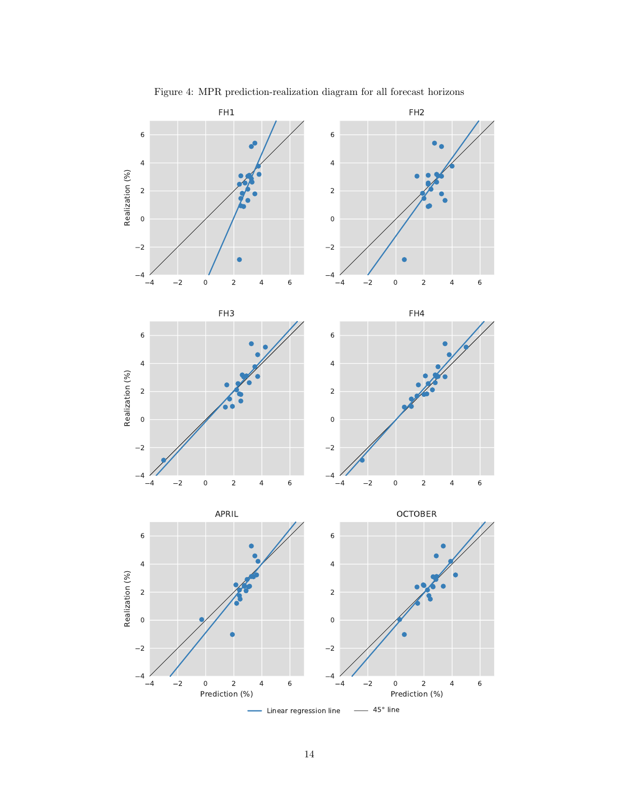<span id="page-14-0"></span>

Figure 4: MPR prediction-realization diagram for all forecast horizons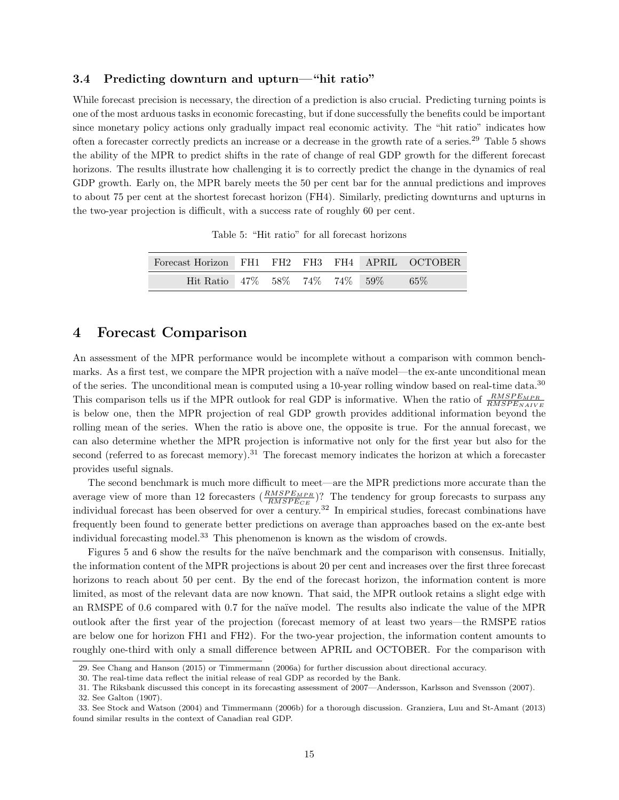#### 3.4 Predicting downturn and upturn—"hit ratio"

While forecast precision is necessary, the direction of a prediction is also crucial. Predicting turning points is one of the most arduous tasks in economic forecasting, but if done successfully the benefits could be important since monetary policy actions only gradually impact real economic activity. The "hit ratio" indicates how often a forecaster correctly predicts an increase or a decrease in the growth rate of a series.[29](#page-15-1) Table [5](#page-15-2) shows the ability of the MPR to predict shifts in the rate of change of real GDP growth for the different forecast horizons. The results illustrate how challenging it is to correctly predict the change in the dynamics of real GDP growth. Early on, the MPR barely meets the 50 per cent bar for the annual predictions and improves to about 75 per cent at the shortest forecast horizon (FH4). Similarly, predicting downturns and upturns in the two-year projection is difficult, with a success rate of roughly 60 per cent.

Table 5: "Hit ratio" for all forecast horizons

<span id="page-15-2"></span>

| Forecast Horizon FH1 FH2 FH3 FH4 APRIL OCTOBER |  |  |     |
|------------------------------------------------|--|--|-----|
| Hit Ratio 47\% 58\% 74\% 74\% 59\%             |  |  | 65% |

### <span id="page-15-0"></span>4 Forecast Comparison

An assessment of the MPR performance would be incomplete without a comparison with common benchmarks. As a first test, we compare the MPR projection with a naïve model—the ex-ante unconditional mean of the series. The unconditional mean is computed using a 10-year rolling window based on real-time data.[30](#page-15-3) This comparison tells us if the MPR outlook for real GDP is informative. When the ratio of  $\frac{RMSPE_{MPR}}{RMSPE_{NAIVE}}$ is below one, then the MPR projection of real GDP growth provides additional information beyond the rolling mean of the series. When the ratio is above one, the opposite is true. For the annual forecast, we can also determine whether the MPR projection is informative not only for the first year but also for the second (referred to as forecast memory).<sup>[31](#page-15-4)</sup> The forecast memory indicates the horizon at which a forecaster provides useful signals.

The second benchmark is much more difficult to meet—are the MPR predictions more accurate than the average view of more than 12 forecasters  $(\frac{RMSPE_{MPR}}{RMSPE_{CE}})$ ? The tendency for group forecasts to surpass any individual forecast has been observed for over a century.[32](#page-15-5) In empirical studies, forecast combinations have frequently been found to generate better predictions on average than approaches based on the ex-ante best individual forecasting model.[33](#page-15-6) This phenomenon is known as the wisdom of crowds.

Figures [5](#page-16-1) and [6](#page-16-2) show the results for the naïve benchmark and the comparison with consensus. Initially, the information content of the MPR projections is about 20 per cent and increases over the first three forecast horizons to reach about 50 per cent. By the end of the forecast horizon, the information content is more limited, as most of the relevant data are now known. That said, the MPR outlook retains a slight edge with an RMSPE of 0.6 compared with 0.7 for the naïve model. The results also indicate the value of the MPR outlook after the first year of the projection (forecast memory of at least two years—the RMSPE ratios are below one for horizon FH1 and FH2). For the two-year projection, the information content amounts to roughly one-third with only a small difference between APRIL and OCTOBER. For the comparison with

<span id="page-15-1"></span><sup>29.</sup> See Chang and Hanson [\(2015\)](#page-18-0) or Timmermann [\(2006a\)](#page-19-8) for further discussion about directional accuracy.

<span id="page-15-3"></span><sup>30.</sup> The real-time data reflect the initial release of real GDP as recorded by the Bank.

<span id="page-15-4"></span><sup>31.</sup> The Riksbank discussed this concept in its forecasting assessment of 2007—Andersson, Karlsson and Svensson [\(2007\)](#page-18-17).

<span id="page-15-6"></span><span id="page-15-5"></span><sup>32.</sup> See Galton [\(1907\)](#page-18-18).

<sup>33.</sup> See Stock and Watson [\(2004\)](#page-19-9) and Timmermann [\(2006b\)](#page-19-10) for a thorough discussion. Granziera, Luu and St-Amant [\(2013\)](#page-18-19) found similar results in the context of Canadian real GDP.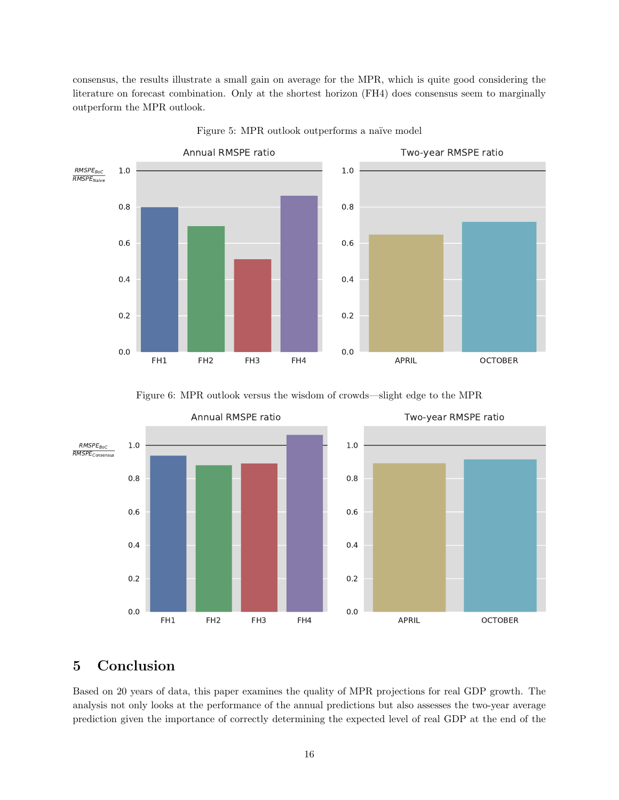consensus, the results illustrate a small gain on average for the MPR, which is quite good considering the literature on forecast combination. Only at the shortest horizon (FH4) does consensus seem to marginally outperform the MPR outlook.

<span id="page-16-1"></span>

Figure 5: MPR outlook outperforms a naïve model



<span id="page-16-2"></span>

## <span id="page-16-0"></span>5 Conclusion

Based on 20 years of data, this paper examines the quality of MPR projections for real GDP growth. The analysis not only looks at the performance of the annual predictions but also assesses the two-year average prediction given the importance of correctly determining the expected level of real GDP at the end of the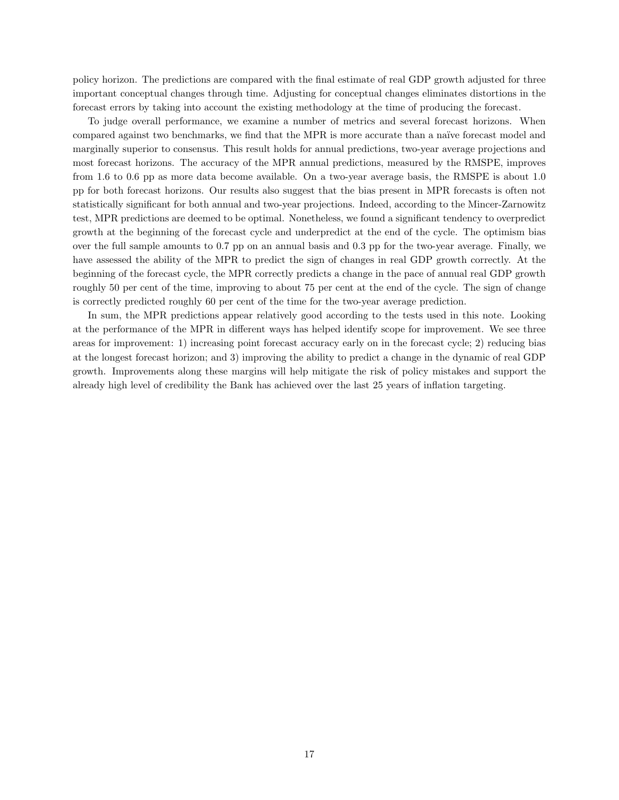policy horizon. The predictions are compared with the final estimate of real GDP growth adjusted for three important conceptual changes through time. Adjusting for conceptual changes eliminates distortions in the forecast errors by taking into account the existing methodology at the time of producing the forecast.

To judge overall performance, we examine a number of metrics and several forecast horizons. When compared against two benchmarks, we find that the MPR is more accurate than a naïve forecast model and marginally superior to consensus. This result holds for annual predictions, two-year average projections and most forecast horizons. The accuracy of the MPR annual predictions, measured by the RMSPE, improves from 1.6 to 0.6 pp as more data become available. On a two-year average basis, the RMSPE is about 1.0 pp for both forecast horizons. Our results also suggest that the bias present in MPR forecasts is often not statistically significant for both annual and two-year projections. Indeed, according to the Mincer-Zarnowitz test, MPR predictions are deemed to be optimal. Nonetheless, we found a significant tendency to overpredict growth at the beginning of the forecast cycle and underpredict at the end of the cycle. The optimism bias over the full sample amounts to 0.7 pp on an annual basis and 0.3 pp for the two-year average. Finally, we have assessed the ability of the MPR to predict the sign of changes in real GDP growth correctly. At the beginning of the forecast cycle, the MPR correctly predicts a change in the pace of annual real GDP growth roughly 50 per cent of the time, improving to about 75 per cent at the end of the cycle. The sign of change is correctly predicted roughly 60 per cent of the time for the two-year average prediction.

In sum, the MPR predictions appear relatively good according to the tests used in this note. Looking at the performance of the MPR in different ways has helped identify scope for improvement. We see three areas for improvement: 1) increasing point forecast accuracy early on in the forecast cycle; 2) reducing bias at the longest forecast horizon; and 3) improving the ability to predict a change in the dynamic of real GDP growth. Improvements along these margins will help mitigate the risk of policy mistakes and support the already high level of credibility the Bank has achieved over the last 25 years of inflation targeting.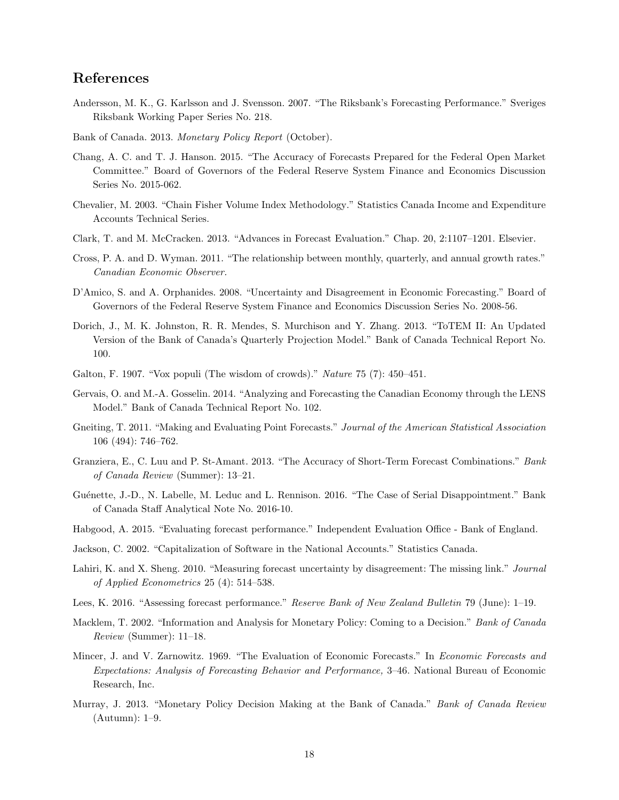## References

- <span id="page-18-17"></span>Andersson, M. K., G. Karlsson and J. Svensson. 2007. "The Riksbank's Forecasting Performance." Sveriges Riksbank Working Paper Series No. 218.
- <span id="page-18-16"></span>Bank of Canada. 2013. Monetary Policy Report (October).
- <span id="page-18-0"></span>Chang, A. C. and T. J. Hanson. 2015. "The Accuracy of Forecasts Prepared for the Federal Open Market Committee." Board of Governors of the Federal Reserve System Finance and Economics Discussion Series No. 2015-062.
- <span id="page-18-9"></span>Chevalier, M. 2003. "Chain Fisher Volume Index Methodology." Statistics Canada Income and Expenditure Accounts Technical Series.
- <span id="page-18-12"></span>Clark, T. and M. McCracken. 2013. "Advances in Forecast Evaluation." Chap. 20, 2:1107–1201. Elsevier.
- <span id="page-18-8"></span>Cross, P. A. and D. Wyman. 2011. "The relationship between monthly, quarterly, and annual growth rates." Canadian Economic Observer.
- <span id="page-18-14"></span>D'Amico, S. and A. Orphanides. 2008. "Uncertainty and Disagreement in Economic Forecasting." Board of Governors of the Federal Reserve System Finance and Economics Discussion Series No. 2008-56.
- <span id="page-18-5"></span>Dorich, J., M. K. Johnston, R. R. Mendes, S. Murchison and Y. Zhang. 2013. "ToTEM II: An Updated Version of the Bank of Canada's Quarterly Projection Model." Bank of Canada Technical Report No. 100.
- <span id="page-18-18"></span>Galton, F. 1907. "Vox populi (The wisdom of crowds)." Nature 75 (7): 450–451.
- <span id="page-18-6"></span>Gervais, O. and M.-A. Gosselin. 2014. "Analyzing and Forecasting the Canadian Economy through the LENS Model." Bank of Canada Technical Report No. 102.
- <span id="page-18-13"></span>Gneiting, T. 2011. "Making and Evaluating Point Forecasts." Journal of the American Statistical Association 106 (494): 746–762.
- <span id="page-18-19"></span>Granziera, E., C. Luu and P. St-Amant. 2013. "The Accuracy of Short-Term Forecast Combinations." Bank of Canada Review (Summer): 13–21.
- <span id="page-18-7"></span>Guénette, J.-D., N. Labelle, M. Leduc and L. Rennison. 2016. "The Case of Serial Disappointment." Bank of Canada Staff Analytical Note No. 2016-10.
- <span id="page-18-1"></span>Habgood, A. 2015. "Evaluating forecast performance." Independent Evaluation Office - Bank of England.
- <span id="page-18-10"></span>Jackson, C. 2002. "Capitalization of Software in the National Accounts." Statistics Canada.
- <span id="page-18-15"></span>Lahiri, K. and X. Sheng. 2010. "Measuring forecast uncertainty by disagreement: The missing link." Journal of Applied Econometrics 25 (4): 514–538.
- <span id="page-18-2"></span>Lees, K. 2016. "Assessing forecast performance." Reserve Bank of New Zealand Bulletin 79 (June): 1–19.
- <span id="page-18-3"></span>Macklem, T. 2002. "Information and Analysis for Monetary Policy: Coming to a Decision." Bank of Canada Review (Summer): 11–18.
- <span id="page-18-11"></span>Mincer, J. and V. Zarnowitz. 1969. "The Evaluation of Economic Forecasts." In Economic Forecasts and Expectations: Analysis of Forecasting Behavior and Performance, 3–46. National Bureau of Economic Research, Inc.
- <span id="page-18-4"></span>Murray, J. 2013. "Monetary Policy Decision Making at the Bank of Canada." Bank of Canada Review (Autumn): 1–9.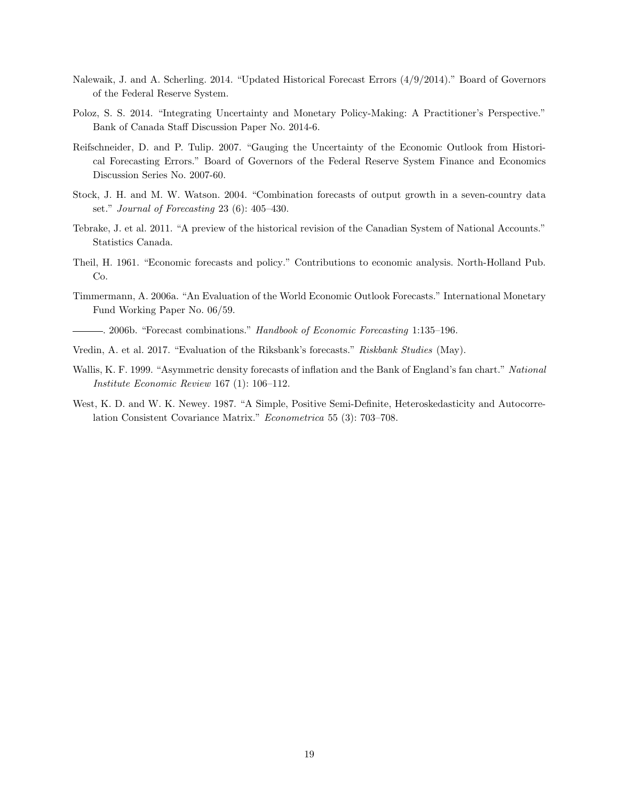- <span id="page-19-2"></span>Nalewaik, J. and A. Scherling. 2014. "Updated Historical Forecast Errors (4/9/2014)." Board of Governors of the Federal Reserve System.
- <span id="page-19-1"></span>Poloz, S. S. 2014. "Integrating Uncertainty and Monetary Policy-Making: A Practitioner's Perspective." Bank of Canada Staff Discussion Paper No. 2014-6.
- <span id="page-19-3"></span>Reifschneider, D. and P. Tulip. 2007. "Gauging the Uncertainty of the Economic Outlook from Historical Forecasting Errors." Board of Governors of the Federal Reserve System Finance and Economics Discussion Series No. 2007-60.
- <span id="page-19-9"></span>Stock, J. H. and M. W. Watson. 2004. "Combination forecasts of output growth in a seven-country data set." Journal of Forecasting 23 (6): 405–430.
- <span id="page-19-4"></span>Tebrake, J. et al. 2011. "A preview of the historical revision of the Canadian System of National Accounts." Statistics Canada.
- <span id="page-19-7"></span>Theil, H. 1961. "Economic forecasts and policy." Contributions to economic analysis. North-Holland Pub. Co.
- <span id="page-19-8"></span>Timmermann, A. 2006a. "An Evaluation of the World Economic Outlook Forecasts." International Monetary Fund Working Paper No. 06/59.
- <span id="page-19-10"></span>. 2006b. "Forecast combinations." Handbook of Economic Forecasting 1:135–196.
- <span id="page-19-0"></span>Vredin, A. et al. 2017. "Evaluation of the Riksbank's forecasts." Riskbank Studies (May).
- <span id="page-19-6"></span>Wallis, K. F. 1999. "Asymmetric density forecasts of inflation and the Bank of England's fan chart." National Institute Economic Review 167 (1): 106–112.
- <span id="page-19-5"></span>West, K. D. and W. K. Newey. 1987. "A Simple, Positive Semi-Definite, Heteroskedasticity and Autocorrelation Consistent Covariance Matrix." Econometrica 55 (3): 703–708.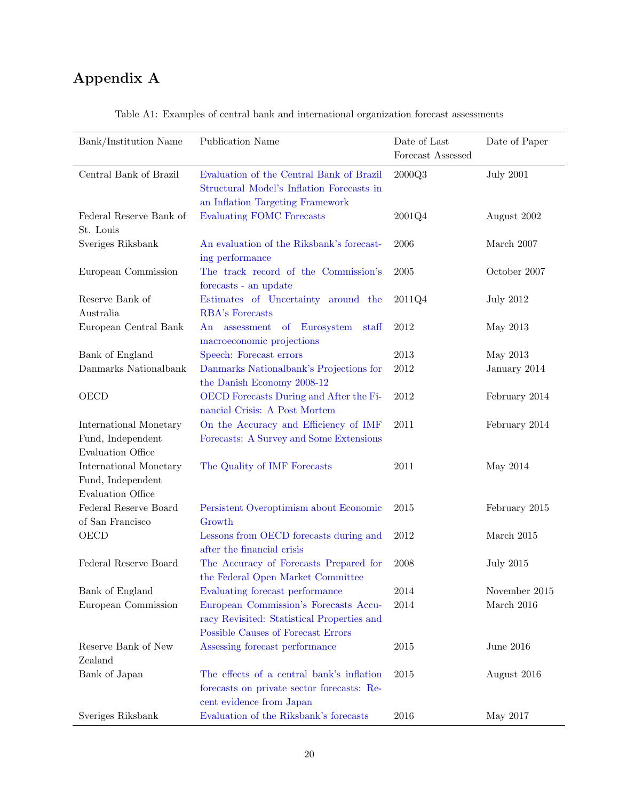# Appendix A

| Bank/Institution Name                         | Publication Name                                                       | Date of Last      | Date of Paper    |
|-----------------------------------------------|------------------------------------------------------------------------|-------------------|------------------|
|                                               |                                                                        | Forecast Assessed |                  |
| Central Bank of Brazil                        | Evaluation of the Central Bank of Brazil                               | 2000Q3            | <b>July 2001</b> |
|                                               | Structural Model's Inflation Forecasts in                              |                   |                  |
|                                               | an Inflation Targeting Framework                                       |                   |                  |
| Federal Reserve Bank of                       | <b>Evaluating FOMC Forecasts</b>                                       | 2001Q4            | August 2002      |
| St. Louis                                     |                                                                        |                   |                  |
| Sveriges Riksbank                             | An evaluation of the Riksbank's forecast-                              | 2006              | March 2007       |
|                                               | ing performance<br>The track record of the Commission's                |                   |                  |
| European Commission                           |                                                                        | 2005              | October 2007     |
| Reserve Bank of                               | forecasts - an update<br>Estimates of Uncertainty around the           | 2011Q4            | <b>July 2012</b> |
| Australia                                     | RBA's Forecasts                                                        |                   |                  |
| European Central Bank                         | of Eurosystem<br>An assessment<br>staff                                | 2012              | May 2013         |
|                                               | macroeconomic projections                                              |                   |                  |
| Bank of England                               | Speech: Forecast errors                                                | 2013              | May 2013         |
| Danmarks Nationalbank                         | Danmarks Nationalbank's Projections for                                | 2012              | January 2014     |
|                                               | the Danish Economy 2008-12                                             |                   |                  |
| <b>OECD</b>                                   | OECD Forecasts During and After the Fi-                                | $\,2012$          | February 2014    |
|                                               | nancial Crisis: A Post Mortem                                          |                   |                  |
| International Monetary                        | On the Accuracy and Efficiency of IMF                                  | 2011              | February 2014    |
| Fund, Independent                             | Forecasts: A Survey and Some Extensions                                |                   |                  |
| <b>Evaluation Office</b>                      |                                                                        |                   |                  |
| International Monetary                        | The Quality of IMF Forecasts                                           | 2011              | May 2014         |
| Fund, Independent<br><b>Evaluation Office</b> |                                                                        |                   |                  |
| Federal Reserve Board                         | Persistent Overoptimism about Economic                                 | 2015              | February 2015    |
| of San Francisco                              | Growth                                                                 |                   |                  |
| OECD                                          | Lessons from OECD forecasts during and                                 | 2012              | March $2015$     |
|                                               | after the financial crisis                                             |                   |                  |
| Federal Reserve Board                         | The Accuracy of Forecasts Prepared for                                 | 2008              | <b>July 2015</b> |
|                                               | the Federal Open Market Committee                                      |                   |                  |
| Bank of England                               | Evaluating forecast performance                                        | 2014              | November 2015    |
| European Commission                           | European Commission's Forecasts Accu-                                  | 2014              | March $2016$     |
|                                               | racy Revisited: Statistical Properties and                             |                   |                  |
|                                               | Possible Causes of Forecast Errors                                     |                   |                  |
| Reserve Bank of New                           | Assessing forecast performance                                         | 2015              | June 2016        |
| Zealand                                       |                                                                        |                   |                  |
| Bank of Japan                                 | The effects of a central bank's inflation                              | 2015              | August 2016      |
|                                               | forecasts on private sector forecasts: Re-<br>cent evidence from Japan |                   |                  |
| Sveriges Riksbank                             | Evaluation of the Riksbank's forecasts                                 | 2016              | May 2017         |

Table A1: Examples of central bank and international organization forecast assessments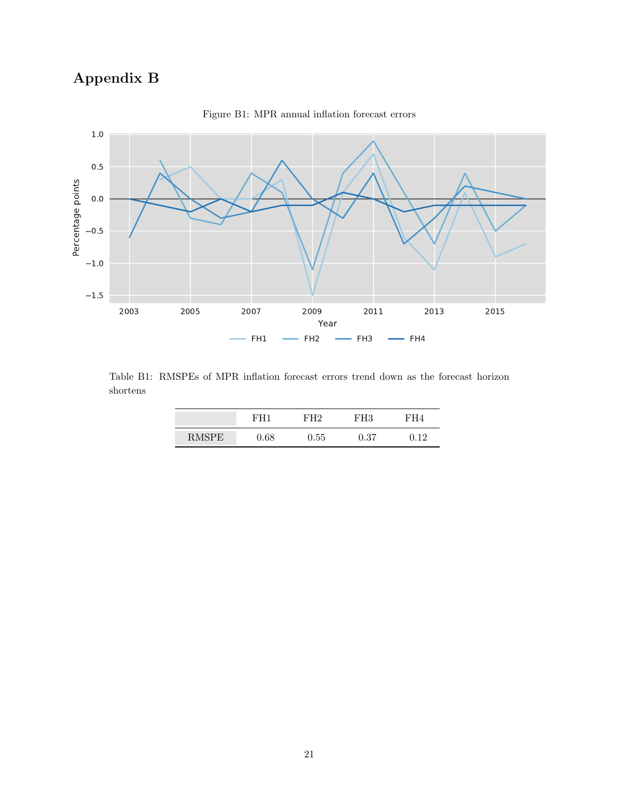# Appendix B



Figure B1: MPR annual inflation forecast errors

Table B1: RMSPEs of MPR inflation forecast errors trend down as the forecast horizon shortens

|              | н'Н 1 | 7H9      | гH3  | H4 |
|--------------|-------|----------|------|----|
| <b>RMSPE</b> | 0.68  | $0.55\,$ | 0.37 | 10 |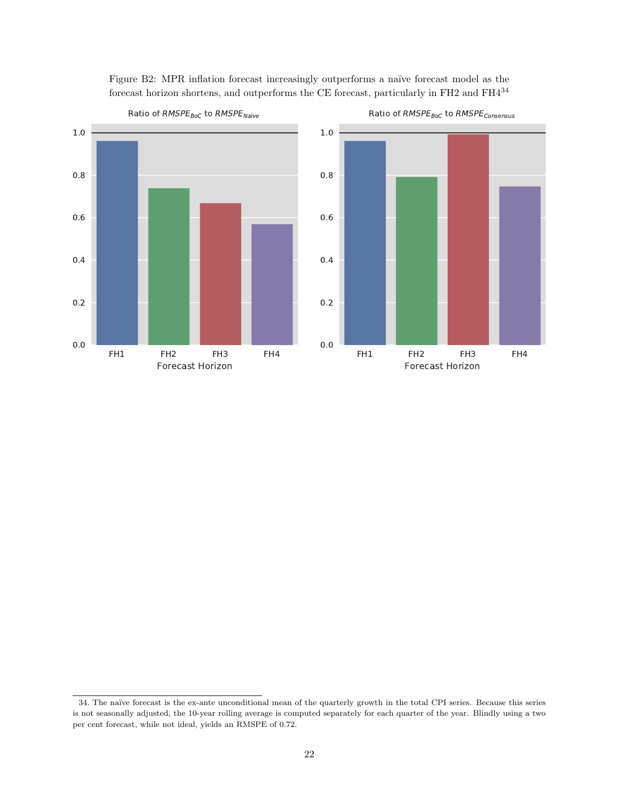

Figure B2: MPR inflation forecast increasingly outperforms a naïve forecast model as the forecast horizon shortens, and outperforms the CE forecast, particularly in FH2 and FH4 $^{34}$  $^{34}$  $^{34}$ 



Ratio of RMSPE<sub>BoC</sub> to RMSPE<sub>Consensus</sub>

<span id="page-22-0"></span><sup>34.</sup> The naïve forecast is the ex-ante unconditional mean of the quarterly growth in the total CPI series. Because this series is not seasonally adjusted, the 10-year rolling average is computed separately for each quarter of the year. Blindly using a two per cent forecast, while not ideal, yields an RMSPE of 0.72.